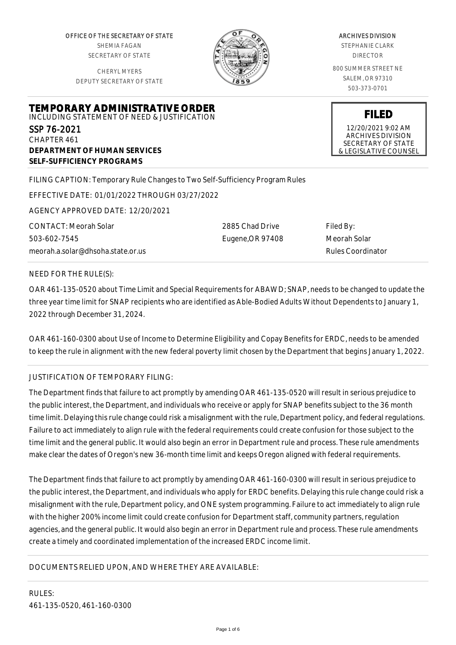OFFICE OF THE SECRETARY OF STATE SHEMIA FAGAN SECRETARY OF STATE

CHERYL MYERS DEPUTY SECRETARY OF STATE



#### ARCHIVES DIVISION

STEPHANIE CLARK DIRECTOR

800 SUMMER STREET NE SALEM, OR 97310 503-373-0701

**FILED**

12/20/2021 9:02 AM ARCHIVES DIVISION SECRETARY OF STATE & LEGISLATIVE COUNSEL

**TEMPORARY ADMINISTRATIVE ORDER** INCLUDING STATEMENT OF NEED & JUSTIFICATION SSP 76-2021

CHAPTER 461 **DEPARTMENT OF HUMAN SERVICES SELF-SUFFICIENCY PROGRAMS**

FILING CAPTION: Temporary Rule Changes to Two Self-Sufficiency Program Rules

EFFECTIVE DATE: 01/01/2022 THROUGH 03/27/2022

AGENCY APPROVED DATE: 12/20/2021

CONTACT: Meorah Solar 503-602-7545 meorah.a.solar@dhsoha.state.or.us 2885 Chad Drive Eugene,OR 97408 Filed By: Meorah Solar Rules Coordinator

## NEED FOR THE RULE(S):

OAR 461-135-0520 about Time Limit and Special Requirements for ABAWD; SNAP, needs to be changed to update the three year time limit for SNAP recipients who are identified as Able-Bodied Adults Without Dependents to January 1, 2022 through December 31, 2024.

OAR 461-160-0300 about Use of Income to Determine Eligibility and Copay Benefits for ERDC, needs to be amended to keep the rule in alignment with the new federal poverty limit chosen by the Department that begins January 1, 2022.

# JUSTIFICATION OF TEMPORARY FILING:

The Department finds that failure to act promptly by amending OAR 461-135-0520 will result in serious prejudice to the public interest, the Department, and individuals who receive or apply for SNAP benefits subject to the 36 month time limit. Delaying this rule change could risk a misalignment with the rule, Department policy, and federal regulations. Failure to act immediately to align rule with the federal requirements could create confusion for those subject to the time limit and the general public. It would also begin an error in Department rule and process. These rule amendments make clear the dates of Oregon's new 36-month time limit and keeps Oregon aligned with federal requirements.

The Department finds that failure to act promptly by amending OAR 461-160-0300 will result in serious prejudice to the public interest, the Department, and individuals who apply for ERDC benefits. Delaying this rule change could risk a misalignment with the rule, Department policy, and ONE system programming. Failure to act immediately to align rule with the higher 200% income limit could create confusion for Department staff, community partners, regulation agencies, and the general public. It would also begin an error in Department rule and process. These rule amendments create a timely and coordinated implementation of the increased ERDC income limit.

## DOCUMENTS RELIED UPON, AND WHERE THEY ARE AVAILABLE: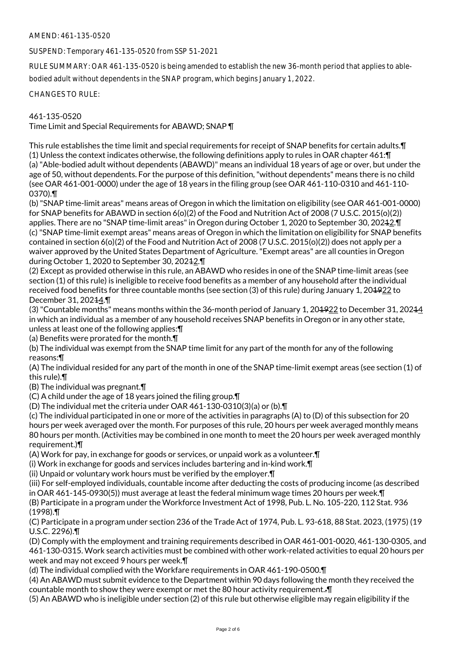## AMEND: 461-135-0520

SUSPEND: Temporary 461-135-0520 from SSP 51-2021

RULE SUMMARY: OAR 461-135-0520 is being amended to establish the new 36-month period that applies to ablebodied adult without dependents in the SNAP program, which begins January 1, 2022.

CHANGES TO RULE:

461-135-0520

Time Limit and Special Requirements for ABAWD; SNAP ¶

This rule establishes the time limit and special requirements for receipt of SNAP benefits for certain adults.¶ (1) Unless the context indicates otherwise, the following definitions apply to rules in OAR chapter 461:¶ (a) "Able-bodied adult without dependents (ABAWD)" means an individual 18 years of age or over, but under the age of 50, without dependents. For the purpose of this definition, "without dependents" means there is no child (see OAR 461-001-0000) under the age of 18 years in the filing group (see OAR 461-110-0310 and 461-110- 0370).¶

(b) "SNAP time-limit areas" means areas of Oregon in which the limitation on eligibility (see OAR 461-001-0000) for SNAP benefits for ABAWD in section 6(o)(2) of the Food and Nutrition Act of 2008 (7 U.S.C. 2015(o)(2)) applies. There are no "SNAP time-limit areas" in Oregon during October 1, 2020 to September 30, 20242. T (c) "SNAP time-limit exempt areas" means areas of Oregon in which the limitation on eligibility for SNAP benefits contained in section 6(o)(2) of the Food and Nutrition Act of 2008 (7 U.S.C. 2015(o)(2)) does not apply per a waiver approved by the United States Department of Agriculture. "Exempt areas" are all counties in Oregon during October 1, 2020 to September 30, 20242. T

(2) Except as provided otherwise in this rule, an ABAWD who resides in one of the SNAP time-limit areas (see section (1) of this rule) is ineligible to receive food benefits as a member of any household after the individual received food benefits for three countable months (see section (3) of this rule) during January 1, 201922 to December 31, 20244.¶

(3) "Countable months" means months within the 36-month period of January 1, 201922 to December 31, 20214 in which an individual as a member of any household receives SNAP benefits in Oregon or in any other state, unless at least one of the following applies:¶

(a) Benefits were prorated for the month.¶

(b) The individual was exempt from the SNAP time limit for any part of the month for any of the following reasons:¶

(A) The individual resided for any part of the month in one of the SNAP time-limit exempt areas (see section (1) of this rule).¶

(B) The individual was pregnant.¶

(C) A child under the age of 18 years joined the filing group.¶

(D) The individual met the criteria under OAR 461-130-0310(3)(a) or (b).¶

(c) The individual participated in one or more of the activities in paragraphs (A) to (D) of this subsection for 20 hours per week averaged over the month. For purposes of this rule, 20 hours per week averaged monthly means 80 hours per month. (Activities may be combined in one month to meet the 20 hours per week averaged monthly requirement.)¶

(A) Work for pay, in exchange for goods or services, or unpaid work as a volunteer.¶

(i) Work in exchange for goods and services includes bartering and in-kind work.¶

(ii) Unpaid or voluntary work hours must be verified by the employer.¶

(iii) For self-employed individuals, countable income after deducting the costs of producing income (as described in OAR 461-145-0930(5)) must average at least the federal minimum wage times 20 hours per week.¶ (B) Participate in a program under the Workforce Investment Act of 1998, Pub. L. No. 105-220, 112 Stat. 936

(1998).¶

(C) Participate in a program under section 236 of the Trade Act of 1974, Pub. L. 93-618, 88 Stat. 2023, (1975) (19 U.S.C. 2296).¶

(D) Comply with the employment and training requirements described in OAR 461-001-0020, 461-130-0305, and 461-130-0315. Work search activities must be combined with other work-related activities to equal 20 hours per week and may not exceed 9 hours per week.¶

(d) The individual complied with the Workfare requirements in OAR 461-190-0500.¶

(4) An ABAWD must submit evidence to the Department within 90 days following the month they received the countable month to show they were exempt or met the 80 hour activity requirement..¶

(5) An ABAWD who is ineligible under section (2) of this rule but otherwise eligible may regain eligibility if the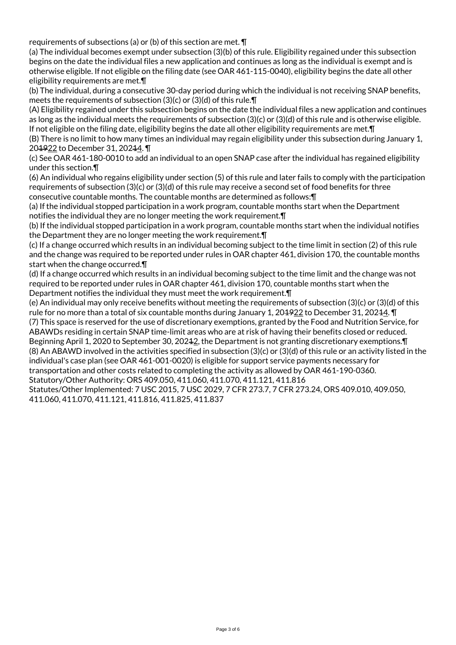requirements of subsections (a) or (b) of this section are met. ¶

(a) The individual becomes exempt under subsection (3)(b) of this rule. Eligibility regained under this subsection begins on the date the individual files a new application and continues as long as the individual is exempt and is otherwise eligible. If not eligible on the filing date (see OAR 461-115-0040), eligibility begins the date all other eligibility requirements are met.¶

(b) The individual, during a consecutive 30-day period during which the individual is not receiving SNAP benefits, meets the requirements of subsection (3)(c) or (3)(d) of this rule.¶

(A) Eligibility regained under this subsection begins on the date the individual files a new application and continues as long as the individual meets the requirements of subsection (3)(c) or (3)(d) of this rule and is otherwise eligible. If not eligible on the filing date, eligibility begins the date all other eligibility requirements are met.¶

(B) There is no limit to how many times an individual may regain eligibility under this subsection during January 1, 204922 to December 31, 20244. \[

(c) See OAR 461-180-0010 to add an individual to an open SNAP case after the individual has regained eligibility under this section.¶

(6) An individual who regains eligibility under section (5) of this rule and later fails to comply with the participation requirements of subsection (3)(c) or (3)(d) of this rule may receive a second set of food benefits for three consecutive countable months. The countable months are determined as follows:¶

(a) If the individual stopped participation in a work program, countable months start when the Department notifies the individual they are no longer meeting the work requirement.¶

(b) If the individual stopped participation in a work program, countable months start when the individual notifies the Department they are no longer meeting the work requirement.¶

(c) If a change occurred which results in an individual becoming subject to the time limit in section (2) of this rule and the change was required to be reported under rules in OAR chapter 461, division 170, the countable months start when the change occurred.¶

(d) If a change occurred which results in an individual becoming subject to the time limit and the change was not required to be reported under rules in OAR chapter 461, division 170, countable months start when the Department notifies the individual they must meet the work requirement.¶

(e) An individual may only receive benefits without meeting the requirements of subsection (3)(c) or (3)(d) of this rule for no more than a total of six countable months during January 1, 20<del>1922</del> to December 31, 202<del>1</del>4. T

(7) This space is reserved for the use of discretionary exemptions, granted by the Food and Nutrition Service, for ABAWDs residing in certain SNAP time-limit areas who are at risk of having their benefits closed or reduced. Beginning April 1, 2020 to September 30, 20212, the Department is not granting discretionary exemptions.¶ (8) An ABAWD involved in the activities specified in subsection (3)(c) or (3)(d) of this rule or an activity listed in the individual's case plan (see OAR 461-001-0020) is eligible for support service payments necessary for transportation and other costs related to completing the activity as allowed by OAR 461-190-0360.

Statutory/Other Authority: ORS 409.050, 411.060, 411.070, 411.121, 411.816

Statutes/Other Implemented: 7 USC 2015, 7 USC 2029, 7 CFR 273.7, 7 CFR 273.24, ORS 409.010, 409.050, 411.060, 411.070, 411.121, 411.816, 411.825, 411.837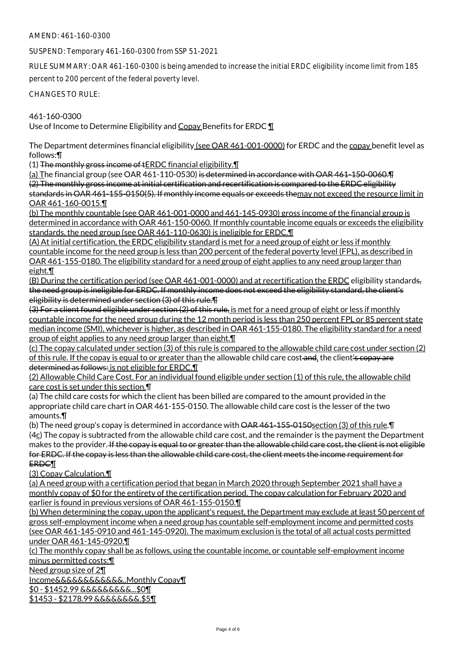AMEND: 461-160-0300

SUSPEND: Temporary 461-160-0300 from SSP 51-2021

RULE SUMMARY: OAR 461-160-0300 is being amended to increase the initial ERDC eligibility income limit from 185 percent to 200 percent of the federal poverty level.

CHANGES TO RULE:

461-160-0300

Use of Income to Determine Eligibility and Copay Benefits for ERDC ¶

The Department determines financial eligibility (see OAR 461-001-0000) for ERDC and the copay benefit level as follows:¶

(1) The monthly gross income of  $E$ RDC financial eligibility. $\P$ 

(a) The financial group (see OAR 461-110-0530) is determined in accordance with OAR 461-150-0060. (2) The monthly gross income at initial certification and recertification is compared to the ERDC eligibility standards in OAR 461-155-0150(5). If monthly income equals or exceeds themay not exceed the resource limit in OAR 461-160-0015.¶

(b) The monthly countable (see OAR 461-001-0000 and 461-145-0930) gross income of the financial group is determined in accordance with OAR 461-150-0060. If monthly countable income equals or exceeds the eligibility standards, the need group (see OAR 461-110-0630) is ineligible for ERDC.¶

(A) At initial certification, the ERDC eligibility standard is met for a need group of eight or less if monthly countable income for the need group is less than 200 percent of the federal poverty level (FPL), as described in OAR 461-155-0180. The eligibility standard for a need group of eight applies to any need group larger than eight.¶

(B) During the certification period (see OAR 461-001-0000) and at recertification the ERDC eligibility standards, the need group is ineligible for ERDC. If monthly income does not exceed the eligibility standard, the client's eligibility is determined under section (3) of this rule.¶

(3) For a client found eligible under section (2) of this rule, is met for a need group of eight or less if monthly countable income for the need group during the 12 month period is less than 250 percent FPL or 85 percent state median income (SMI), whichever is higher, as described in OAR 461-155-0180. The eligibility standard for a need group of eight applies to any need group larger than eight.¶

(c) The copay calculated under section (3) of this rule is compared to the allowable child care cost under section (2) of this rule. If the copay is equal to or greater than the allowable child care cost-and, the client's copay are determined as follows: is not eligible for ERDC.¶

(2) Allowable Child Care Cost. For an individual found eligible under section (1) of this rule, the allowable child care cost is set under this section.¶

(a) The child care costs for which the client has been billed are compared to the amount provided in the appropriate child care chart in OAR 461-155-0150. The allowable child care cost is the lesser of the two amounts.¶

(b) The need group's copay is determined in accordance with <del>OAR 461-155-0150</del>section (3) of this rule. The (4c) The copay is subtracted from the allowable child care cost, and the remainder is the payment the Department makes to the provider. If the copay is equal to or greater than the allowable child care cost, the client is not eligible for ERDC. If the copay is less than the allowable child care cost, the client meets the income requirement for ERDC¶

(3) Copay Calculation.¶

(a) A need group with a certification period that began in March 2020 through September 2021 shall have a monthly copay of \$0 for the entirety of the certification period. The copay calculation for February 2020 and earlier is found in previous versions of OAR 461-155-0150.¶

(b) When determining the copay, upon the applicant's request, the Department may exclude at least 50 percent of gross self-employment income when a need group has countable self-employment income and permitted costs (see OAR 461-145-0910 and 461-145-0920). The maximum exclusion is the total of all actual costs permitted under OAR 461-145-0920.¶

(c) The monthly copay shall be as follows, using the countable income, or countable self-employment income minus permitted costs:¶

Need group size of 2¶ Income&&&&&&&&&&&&..Monthly Copay¶

\$0 - \$1452.99 &&&&&&&&&...\$0¶

\$1453 - \$2178.99 &&&&&&&&.\$5¶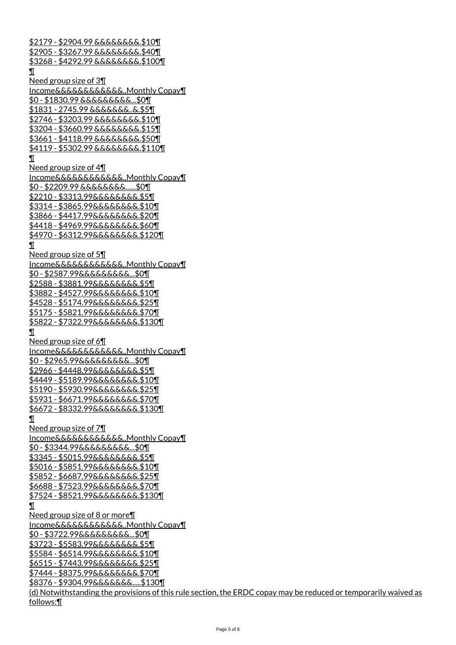\$2179 - \$2904.99 &&&&&&&&.\$10¶ <u>\$2905 - \$3267.99 &&&&&&&&.\$40¶</u> \$3268 - \$4292.99 &&&&&&&&.\$100¶ ¶ Need group size of 3¶ Income&&&&&&&&&&&&..Monthly Copay¶ \$0 - \$1830.99 &&&&&&&&&...\$0¶ \$1831 - 2745.99 &&&&&&&..&.\$5¶ \$2746 - \$3203.99 &&&&&&&&.\$10¶ \$3204 - \$3660.99 &&&&&&&&.\$15¶ \$3661 - \$4118.99 &&&&&&&&.\$50¶ \$4119 - \$5302.99 &&&&&&&&.\$110¶ ¶ Need group size of 4¶ Income&&&&&&&&&&&&..Monthly Copay¶ \$0 - \$2209.99 &&&&&&&&......\$0¶ \$2210 - \$3313.99&&&&&&&&.\$5¶ \$3314 - \$3865.99&&&&&&&&.\$10¶ \$3866 - \$4417.99&&&&&&&&.\$20¶ \$4418 - \$4969.99&&&&&&&&.\$60¶ \$4970 - \$6312.99&&&&&&&&.\$120¶ ¶ Need group size of 5¶ Income&&&&&&&&&&&&..Monthly Copay¶ \$0 - \$2587.99&&&&&&&&&...\$0¶ \$2588 - \$3881.99&&&&&&&&.\$5¶ \$3882 - \$4527.99&&&&&&&&.\$10¶ \$4528 - \$5174.99&&&&&&&&.\$25¶ \$5175 - \$5821.99&&&&&&&&.\$70¶ \$5822 - \$7322.99&&&&&&&&.\$130¶ ¶ Need group size of 6¶ Income&&&&&&&&&&&&..Monthly Copay¶ \$0 - \$2965.99&&&&&&&&&...\$0¶ \$2966 - \$4448.99&&&&&&&&.\$5¶ \$4449 - \$5189.99&&&&&&&&.\$10¶ \$5190 - \$5930.99&&&&&&&&.\$25¶ \$5931 - \$6671.99&&&&&&&&.\$70¶ \$6672 - \$8332.99&&&&&&&&.\$130¶ ¶ Need group size of 7¶ Income&&&&&&&&&&&&..Monthly Copay¶ \$0 - \$3344.99&&&&&&&&&...\$0¶ \$3345 - \$5015.99&&&&&&&&.\$5¶ \$5016 - \$5851.99&&&&&&&&.\$10¶ \$5852 - \$6687.99&&&&&&&&.\$25¶ \$6688 - \$7523.99&&&&&&&&.\$70¶ \$7524 - \$8521.99&&&&&&&&.\$130¶ ¶ Need group size of 8 or more¶ Income&&&&&&&&&&&&..Monthly Copay¶ \$0 - \$3722.99&&&&&&&&&...\$0¶ \$3723 - \$5583.99&&&&&&&&.\$5¶ \$5584 - \$6514.99&&&&&&&&.\$10¶ \$6515 - \$7443.99&&&&&&&&.\$25¶ <u>\$7444 - \$8375.99&&&&&&&&.\$70¶</u> \$8376 - \$9304.99&&&&&&&.....\$130¶ (d) Notwithstanding the provisions of this rule section, the ERDC copay may be reduced or temporarily waived as follows:¶